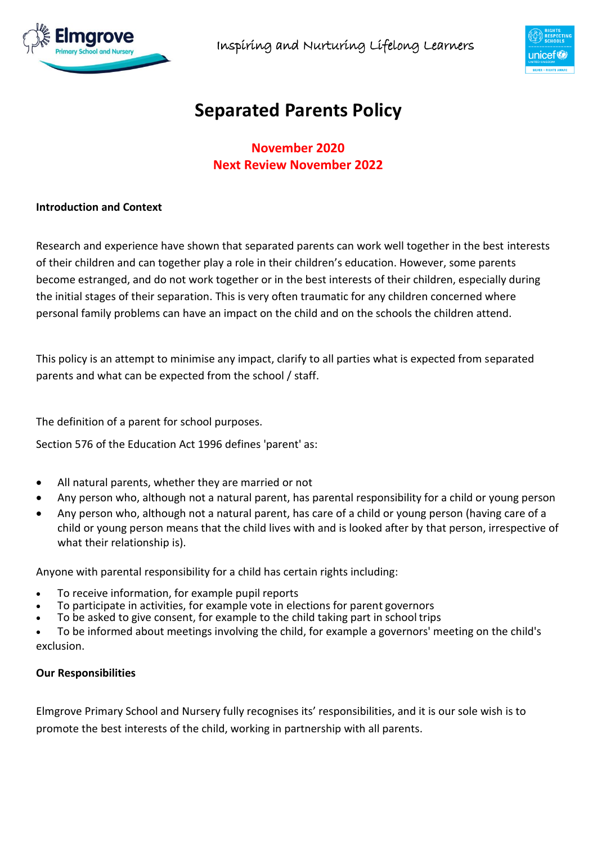



# **Separated Parents Policy**

**November 2020 Next Review November 2022**

### **Introduction and Context**

Research and experience have shown that separated parents can work well together in the best interests of their children and can together play a role in their children's education. However, some parents become estranged, and do not work together or in the best interests of their children, especially during the initial stages of their separation. This is very often traumatic for any children concerned where personal family problems can have an impact on the child and on the schools the children attend.

This policy is an attempt to minimise any impact, clarify to all parties what is expected from separated parents and what can be expected from the school / staff.

The definition of a parent for school purposes.

Section 576 of the Education Act 1996 defines 'parent' as:

- All natural parents, whether they are married or not
- Any person who, although not a natural parent, has parental responsibility for a child or young person
- Any person who, although not a natural parent, has care of a child or young person (having care of a child or young person means that the child lives with and is looked after by that person, irrespective of what their relationship is).

Anyone with parental responsibility for a child has certain rights including:

- To receive information, for example pupil reports
- To participate in activities, for example vote in elections for parent governors
- To be asked to give consent, for example to the child taking part in school trips

 To be informed about meetings involving the child, for example a governors' meeting on the child's exclusion.

### **Our Responsibilities**

Elmgrove Primary School and Nursery fully recognises its' responsibilities, and it is our sole wish is to promote the best interests of the child, working in partnership with all parents.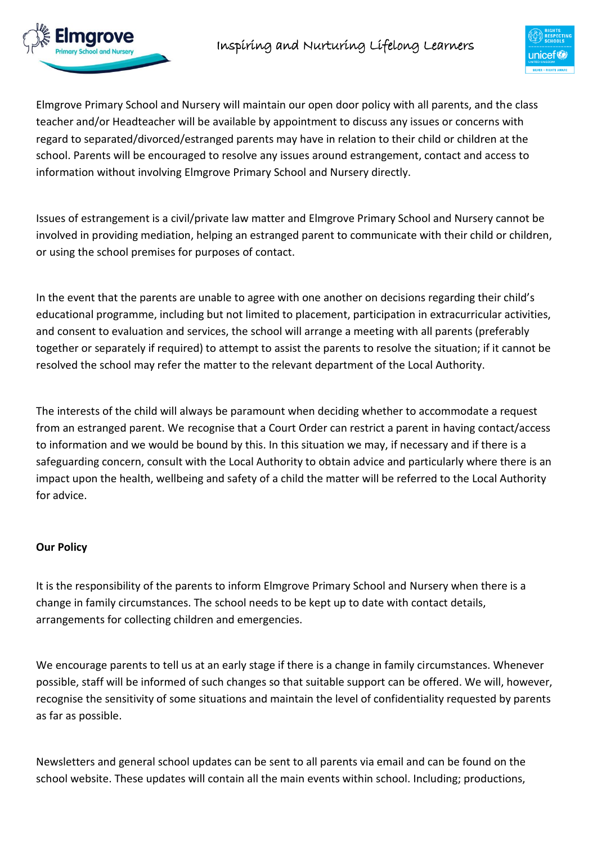



Elmgrove Primary School and Nursery will maintain our open door policy with all parents, and the class teacher and/or Headteacher will be available by appointment to discuss any issues or concerns with regard to separated/divorced/estranged parents may have in relation to their child or children at the school. Parents will be encouraged to resolve any issues around estrangement, contact and access to information without involving Elmgrove Primary School and Nursery directly.

Issues of estrangement is a civil/private law matter and Elmgrove Primary School and Nursery cannot be involved in providing mediation, helping an estranged parent to communicate with their child or children, or using the school premises for purposes of contact.

In the event that the parents are unable to agree with one another on decisions regarding their child's educational programme, including but not limited to placement, participation in extracurricular activities, and consent to evaluation and services, the school will arrange a meeting with all parents (preferably together or separately if required) to attempt to assist the parents to resolve the situation; if it cannot be resolved the school may refer the matter to the relevant department of the Local Authority.

The interests of the child will always be paramount when deciding whether to accommodate a request from an estranged parent. We recognise that a Court Order can restrict a parent in having contact/access to information and we would be bound by this. In this situation we may, if necessary and if there is a safeguarding concern, consult with the Local Authority to obtain advice and particularly where there is an impact upon the health, wellbeing and safety of a child the matter will be referred to the Local Authority for advice.

## **Our Policy**

It is the responsibility of the parents to inform Elmgrove Primary School and Nursery when there is a change in family circumstances. The school needs to be kept up to date with contact details, arrangements for collecting children and emergencies.

We encourage parents to tell us at an early stage if there is a change in family circumstances. Whenever possible, staff will be informed of such changes so that suitable support can be offered. We will, however, recognise the sensitivity of some situations and maintain the level of confidentiality requested by parents as far as possible.

Newsletters and general school updates can be sent to all parents via email and can be found on the school website. These updates will contain all the main events within school. Including; productions,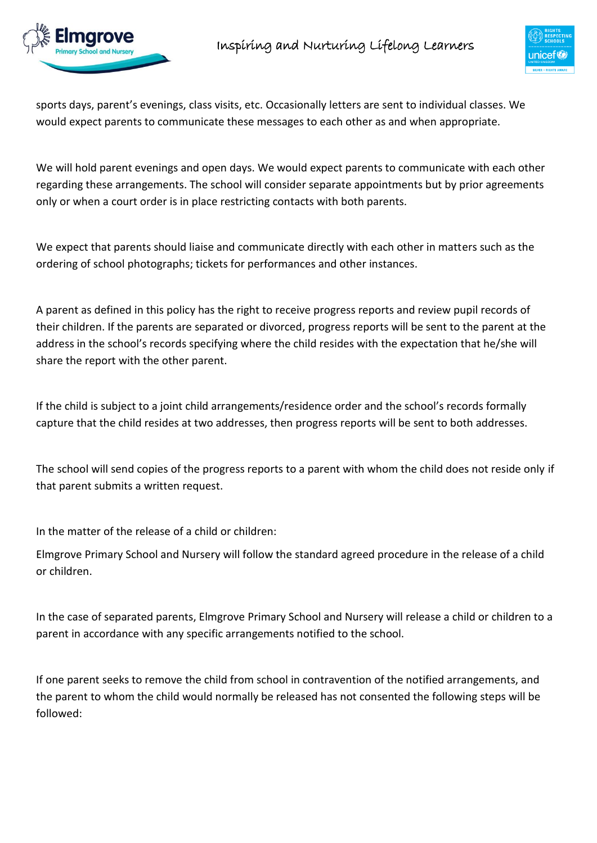



sports days, parent's evenings, class visits, etc. Occasionally letters are sent to individual classes. We would expect parents to communicate these messages to each other as and when appropriate.

We will hold parent evenings and open days. We would expect parents to communicate with each other regarding these arrangements. The school will consider separate appointments but by prior agreements only or when a court order is in place restricting contacts with both parents.

We expect that parents should liaise and communicate directly with each other in matters such as the ordering of school photographs; tickets for performances and other instances.

A parent as defined in this policy has the right to receive progress reports and review pupil records of their children. If the parents are separated or divorced, progress reports will be sent to the parent at the address in the school's records specifying where the child resides with the expectation that he/she will share the report with the other parent.

If the child is subject to a joint child arrangements/residence order and the school's records formally capture that the child resides at two addresses, then progress reports will be sent to both addresses.

The school will send copies of the progress reports to a parent with whom the child does not reside only if that parent submits a written request.

In the matter of the release of a child or children:

Elmgrove Primary School and Nursery will follow the standard agreed procedure in the release of a child or children.

In the case of separated parents, Elmgrove Primary School and Nursery will release a child or children to a parent in accordance with any specific arrangements notified to the school.

If one parent seeks to remove the child from school in contravention of the notified arrangements, and the parent to whom the child would normally be released has not consented the following steps will be followed: